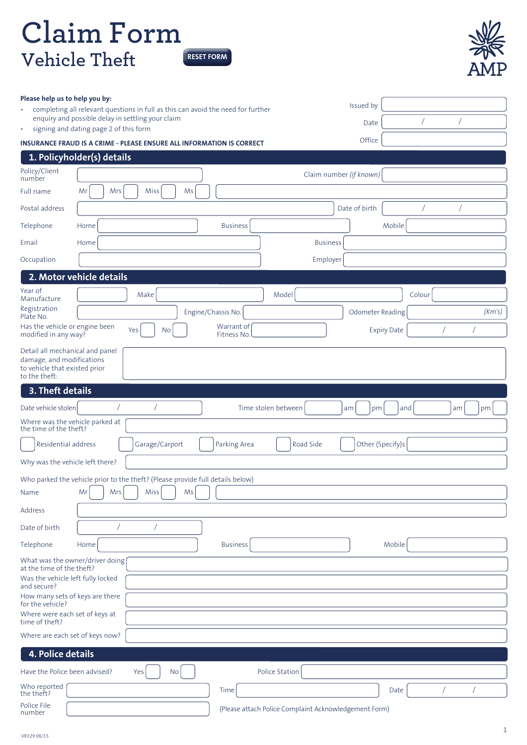## **Claim Form Vehicle Theft RESET FORM**



| completing all relevant questions in full as this can avoid the need for further<br>$\bullet$<br>enquiry and possible delay in settling your claim<br>signing and dating page 2 of this form<br>$\bullet$ | Issued by<br>Date                                  |  |  |  |
|-----------------------------------------------------------------------------------------------------------------------------------------------------------------------------------------------------------|----------------------------------------------------|--|--|--|
| <b>INSURANCE FRAUD IS A CRIME - PLEASE ENSURE ALL INFORMATION IS CORRECT</b>                                                                                                                              | Office                                             |  |  |  |
| 1. Policyholder(s) details                                                                                                                                                                                |                                                    |  |  |  |
| Policy/Client                                                                                                                                                                                             | Claim number (if known)                            |  |  |  |
| number<br>Mr<br>Mrs<br>Miss<br>Ms<br>Full name                                                                                                                                                            |                                                    |  |  |  |
| Postal address                                                                                                                                                                                            | Date of birth                                      |  |  |  |
| <b>Business</b><br>Telephone<br>Home                                                                                                                                                                      | Mobile                                             |  |  |  |
| Email<br>Home                                                                                                                                                                                             | <b>Business</b>                                    |  |  |  |
| Occupation                                                                                                                                                                                                | Employer                                           |  |  |  |
| 2. Motor vehicle details                                                                                                                                                                                  |                                                    |  |  |  |
| Year of<br>Make                                                                                                                                                                                           | Model<br>Colour                                    |  |  |  |
| Manufacture<br>Registration                                                                                                                                                                               | (Km's)                                             |  |  |  |
| Engine/Chassis No.<br>Plate No.<br>Has the vehicle or engine been<br>Warrant of                                                                                                                           | Odometer Reading                                   |  |  |  |
| Yes<br>No<br>modified in any way?<br>Fitness No.                                                                                                                                                          | <b>Expiry Date</b>                                 |  |  |  |
| Detail all mechanical and panel<br>damage, and modifications<br>to vehicle that existed prior<br>to the theft:                                                                                            |                                                    |  |  |  |
| 3. Theft details                                                                                                                                                                                          |                                                    |  |  |  |
| Date vehicle stolen                                                                                                                                                                                       | Time stolen between<br>and<br>am<br>pm<br>am<br>pm |  |  |  |
| Where was the vehicle parked at<br>the time of the theft?                                                                                                                                                 |                                                    |  |  |  |
|                                                                                                                                                                                                           |                                                    |  |  |  |
| Garage/Carport<br>Residential address<br>Parking Area                                                                                                                                                     | Other (Specify)s<br>Road Side                      |  |  |  |
| Why was the vehicle left there?                                                                                                                                                                           |                                                    |  |  |  |
|                                                                                                                                                                                                           |                                                    |  |  |  |
| Who parked the vehicle prior to the theft? (Please provide full details below)<br>Mr<br>Mrs<br>Miss<br>Ms<br>Name                                                                                         |                                                    |  |  |  |
| Address                                                                                                                                                                                                   |                                                    |  |  |  |
| Date of birth                                                                                                                                                                                             |                                                    |  |  |  |
| Telephone<br><b>Business</b><br>Home                                                                                                                                                                      | Mobile                                             |  |  |  |
| What was the owner/driver doing                                                                                                                                                                           |                                                    |  |  |  |
| at the time of the theft?<br>Was the vehicle left fully locked                                                                                                                                            |                                                    |  |  |  |
| and secure?                                                                                                                                                                                               |                                                    |  |  |  |
| How many sets of keys are there<br>for the vehicle?                                                                                                                                                       |                                                    |  |  |  |
| Where were each set of keys at<br>time of theft?                                                                                                                                                          |                                                    |  |  |  |
| Where are each set of keys now?                                                                                                                                                                           |                                                    |  |  |  |
| 4. Police details                                                                                                                                                                                         |                                                    |  |  |  |
| Have the Police been advised?<br>Yes<br>No                                                                                                                                                                | Police Station                                     |  |  |  |
| Who reported<br>Time<br>the theft?                                                                                                                                                                        | $\sqrt{2}$<br>Date<br>$\sqrt{2}$                   |  |  |  |